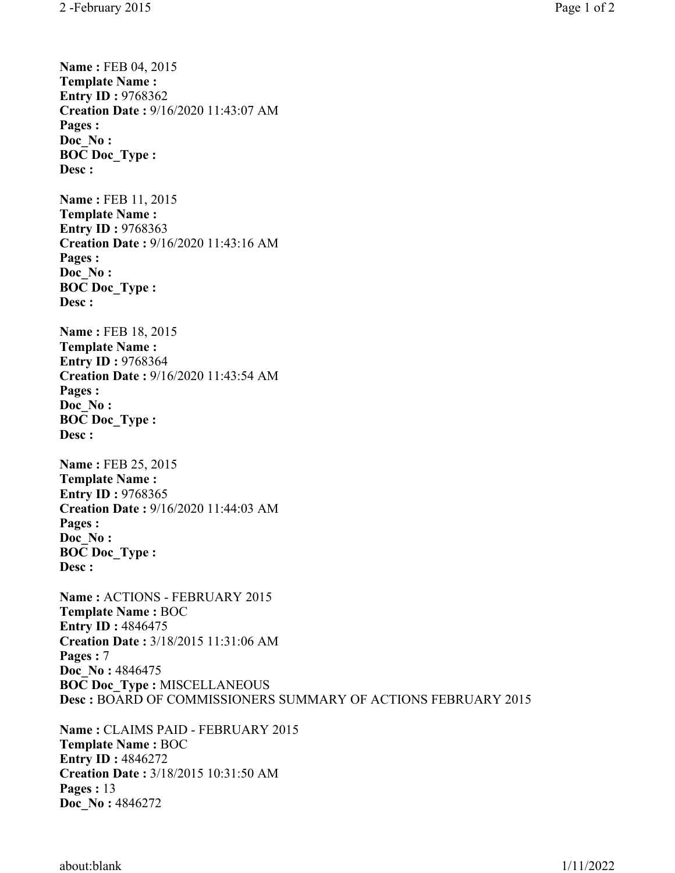**Name : FEB 04, 2015 Template Name : Entry ID: 9768362 Creation Date :** 9/16/2020 11:43:07 AM **Pages : Doc\_No : BOC Doc\_Type : Desc : Name : FEB 11, 2015 Template Name : Entry ID: 9768363 Creation Date :** 9/16/2020 11:43:16 AM **Pages : Doc\_No : BOC Doc\_Type : Desc : Name : FEB 18, 2015 Template Name : Entry ID: 9768364 Creation Date :** 9/16/2020 11:43:54 AM **Pages : Doc\_No : BOC Doc\_Type : Desc : Name : FEB 25, 2015 Template Name : Entry ID: 9768365 Creation Date :** 9/16/2020 11:44:03 AM **Pages : Doc\_No : BOC Doc\_Type : Desc : Name :** ACTIONS - FEBRUARY 2015 **Template Name :** BOC **Entry ID :** 4846475 **Creation Date :** 3/18/2015 11:31:06 AM **Pages :** 7 **Doc\_No :** 4846475 **BOC Doc\_Type :** MISCELLANEOUS **Desc :** BOARD OF COMMISSIONERS SUMMARY OF ACTIONS FEBRUARY 2015 **Name :** CLAIMS PAID - FEBRUARY 2015 **Template Name :** BOC **Entry ID: 4846272 Creation Date :** 3/18/2015 10:31:50 AM

**Pages :** 13

**Doc\_No :** 4846272